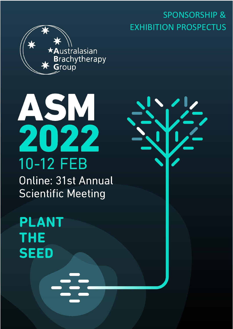SPONSORSHIP & EXHIBITION PROSPECTUS



# **ASM**<br>2022 10-12 FEB

**Online: 31st Annual Scientific Meeting** 

**PLANT THE SEED**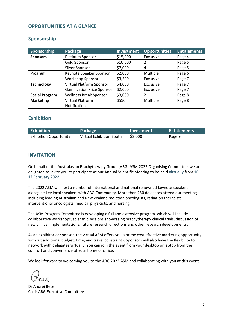# **OPPORTUNITIES AT A GLANCE**

# **Sponsorship**

| Sponsorship           | Package                           | <b>Investment</b> | <b>Opportunities</b> | <b>Entitlements</b> |
|-----------------------|-----------------------------------|-------------------|----------------------|---------------------|
| <b>Sponsors</b>       | Platinum Sponsor                  | \$15,000          | Exclusive            | Page 4              |
|                       | <b>Gold Sponsor</b>               | \$10,000          | 2                    | Page 5              |
|                       | Silver Sponsor                    | \$7,000           | 4                    | Page 5              |
| Program               | Keynote Speaker Sponsor           | \$2,000           | Multiple             | Page 6              |
|                       | <b>Workshop Sponsor</b>           | \$3,500           | Exclusive            | Page 7              |
| <b>Technology</b>     | <b>Virtual Platform Sponsor</b>   | \$4,000           | Exclusive            | Page 7              |
|                       | <b>Gamification Prize Sponsor</b> | \$2,000           | Exclusive            | Page 7              |
| <b>Social Program</b> | <b>Wellness Break Sponsor</b>     | \$3,000           | 2                    | Page 8              |
| <b>Marketing</b>      | Virtual Platform                  | \$550             | Multiple             | Page 8              |
|                       | Notification                      |                   |                      |                     |

# **Exhibition**

| <b>Exhibition</b>             | Package                  | Investment | <b>Entitlements</b> |
|-------------------------------|--------------------------|------------|---------------------|
| <b>Exhibition Opportunity</b> | Virtual Exhibition Booth | \$2,000    | Page 9              |

## **INVITATION**

On behalf of the Australasian Brachytherapy Group (ABG) ASM 2022 Organising Committee, we are delighted to invite you to participate at our Annual Scientific Meeting to be held **virtually** from **10 – 12 February 2022**.

The 2022 ASM will host a number of international and national renowned keynote speakers alongside key local speakers with ABG Community. More than 250 delegates attend our meeting including leading Australian and New Zealand radiation oncologists, radiation therapists, interventional oncologists, medical physicists, and nursing.

The ASM Program Committee is developing a full and extensive program, which will include collaborative workshops, scientific sessions showcasing brachytherapy clinical trials, discussion of new clinical implementations, future research directions and other research developments.

As an exhibitor or sponsor, the virtual ASM offers you a prime cost-effective marketing opportunity without additional budget, time, and travel constraints. Sponsors will also have the flexibility to network with delegates virtually. You can join the event from your desktop or laptop from the comfort and convenience of your home or office.

We look forward to welcoming you to the ABG 2022 ASM and collaborating with you at this event.

Dr Andrej Bece Chair ABG Executive Committee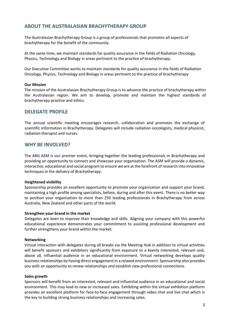# **ABOUT THE AUSTRALASIAN BRACHYTHERAPY GROUP**

The Australasian Brachytherapy Group is a group of professionals that promotes all aspects of brachytherapy for the benefit of the community.

At the same time, we maintain standards for quality assurance in the fields of Radiation Oncology, Physics, Technology and Biology in areas pertinent to the practice of brachytherapy.

Our Executive Committee works to maintain standards for quality assurance in the fields of Radiation Oncology, Physics, Technology and Biology in areas pertinent to the practice of brachytherapy

#### **Our Mission**

The mission of the Australasian Brachytherapy Group is to advance the practice of brachytherapy within the Australasian region. We aim to develop, promote and maintain the highest standards of brachytherapy practice and ethics.

## **DELEGATE PROFILE**

The annual scientific meeting encourages research, collaboration and promotes the exchange of scientific information in Brachytherapy. Delegates will include radiation oncologists, medical physicist, radiation therapist and nurses.

## **WHY BE INVOLVED?**

The ABG ASM is our premier event, bringing together the leading professionals in Brachytherapy and providing an opportunity to connect and showcase your organisation. The ASM will provide a dynamic, interactive, educational and social program to ensure we are at the forefront of research into innovative techniques in the delivery of Brachytherapy.

## **Heightened visibility**

Sponsorship provides an excellent opportunity to promote your organisation and support your brand, maintaining a high profile among specialists, before, during and after this event. There is no better way to position your organisation to more than 250 leading professionals in Brachytherapy from across Australia, New Zealand and other parts of the world.

#### **Strengthen your brand in the market**

Delegates are keen to improve their knowledge and skills. Aligning your company with this powerful educational experience demonstrates your commitment to assisting professional development and further strengthens your brand within the market.

## **Networking**

Virtual interaction with delegates during all breaks via the Meeting Hub in addition to virtual activities will benefit sponsors and exhibitors significantly from exposure to a keenly interested, relevant and, above all, influential audience in an educational environment. Virtual networking develops quality business relationships by having direct engagement in a relaxed environment. Sponsorship also provides you with an opportunity to renew relationships and establish new professional connections.

#### **Sales growth**

Sponsors will benefit from an interested, relevant and influential audience in an educational and social environment. This may lead to new or increased sales. Exhibiting within the virtual exhibition platform provides an excellent platform for face-to-face engagement through video chat and live chat which is the key to building strong business relationships and increasing sales.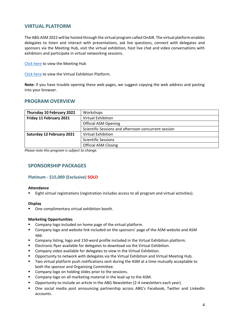# **VIRTUAL PLATFORM**

The ABG ASM 2022 will be hosted through the virtual program called OnAIR. The virtual platform enables delegates to listen and interact with presentations, ask live questions, connect with delegates and sponsors via the Meeting Hub, visit the virtual exhibition, host live chat and video conversations with exhibitors and participate in virtual networking sessions.

[Click here](https://dyzz9obi78pm5.cloudfront.net/app/image/id/5efb742fad121c4952de2c17/n/meeting-hub-snippet.mp4) to view the Meeting Hub

[Click here](https://dyzz9obi78pm5.cloudfront.net/app/image/id/5ef5486f6e121cca7232df99/n/exhibitor-video-final.mp4) to view the Virtual Exhibition Platform.

**Note:** if you have trouble opening these web pages, we suggest copying the web address and pasting into your browser.

## **PROGRAM OVERVIEW**

| Thursday 10 February 2022 | Workshops                                            |  |  |
|---------------------------|------------------------------------------------------|--|--|
| Friday 11 February 2021   | <b>Virtual Exhibition</b>                            |  |  |
|                           | <b>Official ASM Opening</b>                          |  |  |
|                           | Scientific Sessions and afternoon concurrent session |  |  |
| Saturday 12 February 2021 | Virtual Exhibition                                   |  |  |
|                           | <b>Scientific Sessions</b>                           |  |  |
|                           | <b>Official ASM Closing</b>                          |  |  |

*Please note this program is subject to change.*

# **SPONSORSHIP PACKAGES**

## **Platinum - \$15,000 (Exclusive) SOLD**

## **Attendance**

Eight virtual registrations (registration includes access to all program and virtual activities).

## **Display**

One complimentary virtual exhibition booth.

## **Marketing Opportunities**

- Company logo included on home page of the virtual platform.
- Company logo and website link included on the sponsors' page of the ASM website and ASM app.
- Company listing, logo and 150-word profile included in the Virtual Exhibition platform.
- Electronic flyer available for delegates to download via the Virtual Exhibition.
- Company video available for delegates to view in the Virtual Exhibition.
- Opportunity to network with delegates via the Virtual Exhibition and Virtual Meeting Hub.
- Two virtual platform push notifications sent during the ASM at a time mutually acceptable to both the sponsor and Organising Committee.
- Company logo on holding slides prior to the sessions.
- Company logo on all marketing material in the lead up to the ASM.
- Opportunity to include an article in the ABG Newsletter (2-4 newsletters each year).
- One social media post announcing partnership across ABG's Facebook, Twitter and LinkedIn accounts.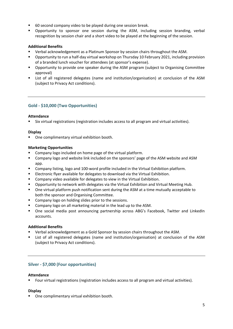- 60 second company video to be played during one session break.
- Opportunity to sponsor one session during the ASM, including session branding, verbal recognition by session chair and a short video to be played at the beginning of the session.

## **Additional Benefits**

- **E** Verbal acknowledgement as a Platinum Sponsor by session chairs throughout the ASM.
- Opportunity to run a half-day virtual workshop on Thursday 10 February 2021, including provision of a branded lunch voucher for attendees (at sponsor's expense).
- Opportunity to provide one speaker during the ASM program (subject to Organising Committee approval)
- List of all registered delegates (name and institution/organisation) at conclusion of the ASM (subject to Privacy Act conditions).

## **Gold - \$10,000 (Two Opportunities)**

## **Attendance**

Six virtual registrations (registration includes access to all program and virtual activities).

## **Display**

■ One complimentary virtual exhibition booth.

## **Marketing Opportunities**

- Company logo included on home page of the virtual platform.
- Company logo and website link included on the sponsors' page of the ASM website and ASM app.
- Company listing, logo and 100-word profile included in the Virtual Exhibition platform.
- Electronic flyer available for delegates to download via the Virtual Exhibition.
- Company video available for delegates to view in the Virtual Exhibition.
- **•** Opportunity to network with delegates via the Virtual Exhibition and Virtual Meeting Hub.
- One virtual platform push notification sent during the ASM at a time mutually acceptable to both the sponsor and Organising Committee.
- Company logo on holding slides prior to the sessions.
- Company logo on all marketing material in the lead up to the ASM.
- One social media post announcing partnership across ABG's Facebook, Twitter and LinkedIn accounts.

## **Additional Benefits**

- Verbal acknowledgement as a Gold Sponsor by session chairs throughout the ASM.
- List of all registered delegates (name and institution/organisation) at conclusion of the ASM (subject to Privacy Act conditions).

## **Silver - \$7,000 (Four opportunities)**

## **Attendance**

▪ Four virtual registrations (registration includes access to all program and virtual activities).

## **Display**

■ One complimentary virtual exhibition booth.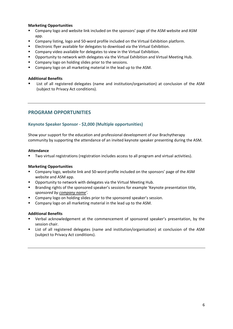## **Marketing Opportunities**

- Company logo and website link included on the sponsors' page of the ASM website and ASM app.
- Company listing, logo and 50-word profile included on the Virtual Exhibition platform.
- Electronic flyer available for delegates to download via the Virtual Exhibition.
- Company video available for delegates to view in the Virtual Exhibition.
- Opportunity to network with delegates via the Virtual Exhibition and Virtual Meeting Hub.
- Company logo on holding slides prior to the sessions.
- Company logo on all marketing material in the lead up to the ASM.

## **Additional Benefits**

List of all registered delegates (name and institution/organisation) at conclusion of the ASM (subject to Privacy Act conditions).

# **PROGRAM OPPORTUNITIES**

## **Keynote Speaker Sponsor - \$2,000 (Multiple opportunities)**

Show your support for the education and professional development of our Brachytherapy community by supporting the attendance of an invited keynote speaker presenting during the ASM.

## **Attendance**

Two virtual registrations (registration includes access to all program and virtual activities).

## **Marketing Opportunities**

- Company logo, website link and 50-word profile included on the sponsors' page of the ASM website and ASM app.
- Opportunity to network with delegates via the Virtual Meeting Hub.
- Branding rights of the sponsored speaker's sessions for example 'Keynote presentation title, *sponsored by company name'.*
- Company logo on holding slides prior to the sponsored speaker's session.
- Company logo on all marketing material in the lead up to the ASM.

## **Additional Benefits**

- Verbal acknowledgement at the commencement of sponsored speaker's presentation, by the session chair.
- List of all registered delegates (name and institution/organisation) at conclusion of the ASM (subject to Privacy Act conditions).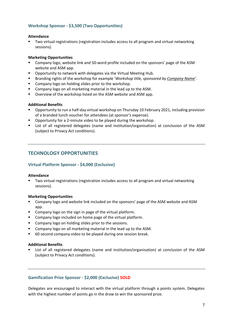## **Workshop Sponsor - \$3,500 (Two Opportunities)**

## **Attendance**

Two virtual registrations (registration includes access to all program and virtual networking sessions).

## **Marketing Opportunities**

- Company logo, website link and 50-word profile included on the sponsors' page of the ASM website and ASM app.
- Opportunity to network with delegates via the Virtual Meeting Hub.
- Branding rights of the workshop for example '*Workshop title, sponsored by Company Name'.*
- Company logo on holding slides prior to the workshop.
- Company logo on all marketing material in the lead up to the ASM.
- Overview of the workshop listed on the ASM website and ASM app.

## **Additional Benefits**

- Opportunity to run a half-day virtual workshop on Thursday 10 February 2021, including provision of a branded lunch voucher for attendees (at sponsor's expense).
- Opportunity for a 2-minute video to be played during the workshop.
- List of all registered delegates (name and institution/organisation) at conclusion of the ASM (subject to Privacy Act conditions).

# **TECHNOLOGY OPPORTUNITIES**

## **Virtual Platform Sponsor - \$4,000 (Exclusive)**

## **Attendance**

Two virtual registrations (registration includes access to all program and virtual networking sessions).

## **Marketing Opportunities**

- Company logo and website link included on the sponsors' page of the ASM website and ASM app.
- Company logo on the sign in page of the virtual platform.
- Company logo included on home page of the virtual platform.
- Company logo on holding slides prior to the sessions.
- Company logo on all marketing material in the lead up to the ASM.
- 60 second company video to be played during one session break.

## **Additional Benefits**

List of all registered delegates (name and institution/organisation) at conclusion of the ASM (subject to Privacy Act conditions).

## **Gamification Prize Sponsor - \$2,000 (Exclusive) SOLD**

Delegates are encouraged to interact with the virtual platform through a points system. Delegates with the highest number of points go in the draw to win the sponsored prize.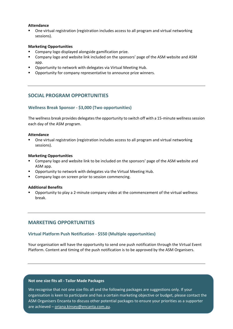## **Attendance**

■ One virtual registration (registration includes access to all program and virtual networking sessions).

#### **Marketing Opportunities**

- Company logo displayed alongside gamification prize.
- Company logo and website link included on the sponsors' page of the ASM website and ASM app.
- Opportunity to network with delegates via Virtual Meeting Hub.
- Opportunity for company representative to announce prize winners.

## **SOCIAL PROGRAM OPPORTUNITIES**

## **Wellness Break Sponsor - \$3,000 (Two opportunities)**

The wellness break provides delegates the opportunity to switch off with a 15-minute wellness session each day of the ASM program.

#### **Attendance**

One virtual registration (registration includes access to all program and virtual networking sessions).

#### **Marketing Opportunities**

- Company logo and website link to be included on the sponsors' page of the ASM website and ASM app.
- Opportunity to network with delegates via the Virtual Meeting Hub.
- Company logo on screen prior to session commencing.

#### **Additional Benefits**

Opportunity to play a 2-minute company video at the commencement of the virtual wellness break.

## **MARKETING OPPORTUNITIES**

## **Virtual Platform Push Notification - \$550 (Multiple opportunities)**

Your organisation will have the opportunity to send one push notification through the Virtual Event Platform. Content and timing of the push notification is to be approved by the ASM Organisers.

#### **Not one size fits all - Tailor Made Packages**

We recognise that not one size fits all and the following packages are suggestions only. If your organisation is keen to participate and has a certain marketing objective or budget, please contact the ASM Organisers Encanta to discuss other potential packages to ensure your priorities as a supporter are achieved – [oriana.kinsey@encanta.com.au.](mailto:oriana.kinsey@encanta.com.au)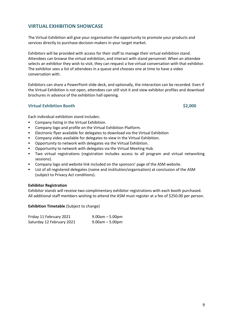# **VIRTUAL EXHIBITION SHOWCASE**

The Virtual Exhibition will give your organisation the opportunity to promote your products and services directly to purchase decision-makers in your target market.

Exhibitors will be provided with access for their staff to manage their virtual exhibition stand. Attendees can browse the virtual exhibition, and interact with stand personnel. When an attendee selects an exhibitor they wish to visit, they can request a live virtual conversation with that exhibitor. The exhibitor sees a list of attendees in a queue and chooses one at time to have a video conversation with.

Exhibitors can share a PowerPoint slide deck, and optionally, the interaction can be recorded. Even if the Virtual Exhibition is not open, attendees can still visit it and view exhibitor profiles and download brochures in advance of the exhibition hall opening.

## **Virtual Exhibition Booth \$2,000**

Each individual exhibition stand includes:

- Company listing in the Virtual Exhibition.
- Company logo and profile on the Virtual Exhibition Platform.
- Electronic flyer available for delegates to download via the Virtual Exhibition
- Company video available for delegates to view in the Virtual Exhibition.
- Opportunity to network with delegates via the Virtual Exhibition.
- Opportunity to network with delegates via the Virtual Meeting Hub.
- Two virtual registrations (registration includes access to all program and virtual networking sessions).
- Company logo and website link included on the sponsors' page of the ASM website.
- List of all registered delegates (name and institution/organisation) at conclusion of the ASM (subject to Privacy Act conditions).

## **Exhibitor Registration**

Exhibitor stands will receive two complimentary exhibitor registrations with each booth purchased. All additional staff members wishing to attend the ASM must register at a fee of \$250.00 per person.

**Exhibition Timetable** (Subject to change)

| Friday 11 February 2021   | $9.00$ am $-5.00$ pm |
|---------------------------|----------------------|
| Saturday 12 February 2021 | $9.00$ am $-5.00$ pm |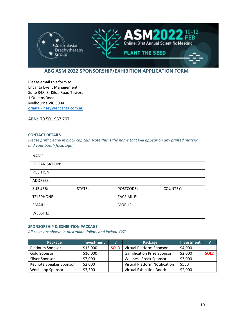

# **ABG ASM 2022 SPONSORSHIP/EXHIBITION APPLICATION FORM**

Please email this form to: Encanta Event Management Suite 348, St Kilda Road Towers 1 Queens Road Melbourne VIC 3004 [oriana.kinsey@encanta.com.au](mailto:oriana.kinsey@encanta.com.au)

**ABN:** 79 501 937 707

#### **CONTACT DETAILS**

*Please print clearly in block capitals. Note this is the name that will appear on any printed material and your booth facia sign)*

NAME:

| <b>ORGANISATION:</b> |        |                   |                 |
|----------------------|--------|-------------------|-----------------|
| POSITION:            |        |                   |                 |
| ADDRESS:             |        |                   |                 |
| <b>SUBURB:</b>       | STATE: | POSTCODE:         | <b>COUNTRY:</b> |
| TELEPHONE:           |        | <b>FACSIMILE:</b> |                 |
| EMAIL:               |        | MOBILE:           |                 |
| WEBSITE:             |        |                   |                 |

## **SPONSORSHIP & EXHIBITION PACKAGE**

*All costs are shown in Australian dollars and include GST.*

| Package                 | <b>Investment</b> | ν           | Package                           | Investment | $\mathbf{v}$ |
|-------------------------|-------------------|-------------|-----------------------------------|------------|--------------|
| Platinum Sponsor        | \$15,000          | <b>SOLD</b> | Virtual Platform Sponsor          | \$4,000    |              |
| <b>Gold Sponsor</b>     | \$10,000          |             | <b>Gamification Prize Sponsor</b> | \$2,000    | <b>SOLD</b>  |
| Silver Sponsor          | \$7,000           |             | <b>Wellness Break Sponsor</b>     | \$3,000    |              |
| Keynote Speaker Sponsor | \$2,000           |             | Virtual Platform Notification     | \$550      |              |
| <b>Workshop Sponsor</b> | \$3,500           |             | Virtual Exhibition Booth          | \$2,000    |              |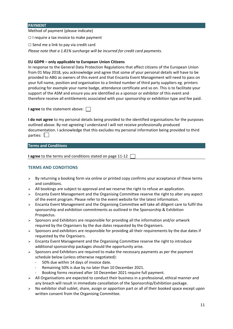## **PAYMENT**

Method of payment (please indicate)

 $\Box$  I require a tax invoice to make payment

*□* Send me a link to pay via credit card

*Please note that a 1.81% surcharge will be incurred for credit card payments.*

## **EU GDPR – only applicable to European Union Citizens**

In response to the General Data Protection Regulations that affect citizens of the European Union from 01 May 2018, you acknowledge and agree that some of your personal details will have to be provided to ABG as owners of this event and that Encanta Event Management will need to pass on your full name, position and organisation to a limited number of third party suppliers eg. printers producing for example your name badge, attendance certificate and so on. This is to facilitate your support of the ASM and ensure you are identified as a sponsor or exhibitor of this event and therefore receive all entitlements associated with your sponsorship or exhibition type and fee paid.

**I agree** to the statement above:

**I do not agree** to my personal details being provided to the identified organisations for the purposes outlined above. By not agreeing I understand I will not receive professionally produced documentation. I acknowledge that this excludes my personal information being provided to third parties:  $\Box$ 

## **Terms and Conditions**

**I agree** to the terms and conditions stated on page 11-12

## **TERMS AND CONDITIONS**

- $\triangleright$  By returning a booking form via online or printed copy confirms your acceptance of these terms and conditions.
- $\triangleright$  All bookings are subject to approval and we reserve the right to refuse an application.
- ➢ Encanta Event Management and the Organising Committee reserve the right to alter any aspect of the event program. Please refer to the event website for the latest information.
- ➢ Encanta Event Management and the Organising Committee will take all diligent care to fulfil the sponsorship and exhibition commitments as outlined in the Sponsorship & Exhibition Prospectus.
- $\triangleright$  Sponsors and Exhibitors are responsible for providing all the information and/or artwork required by the Organisers by the due dates requested by the Organisers.
- $\triangleright$  Sponsors and exhibitors are responsible for providing all their requirements by the due dates if requested by the Organisers.
- ➢ Encanta Event Management and the Organising Committee reserve the right to introduce additional sponsorship packages should the opportunity arise.
- $\triangleright$  Sponsors and Exhibitors are required to make the necessary payments as per the payment schedule below (unless otherwise negotiated):
	- 50% due within 14 days of invoice date.
	- Remaining 50% is due by no later than 10 December 2021.
	- Booking forms received after 10 December 2021 require full payment.
- $\triangleright$  All Organisations are expected to conduct their business in a professional, ethical manner and any breach will result in immediate cancellation of the Sponsorship/Exhibition package.
- ➢ No exhibitor shall sublet, share, assign or apportion part or all of their booked space except upon written consent from the Organising Committee.